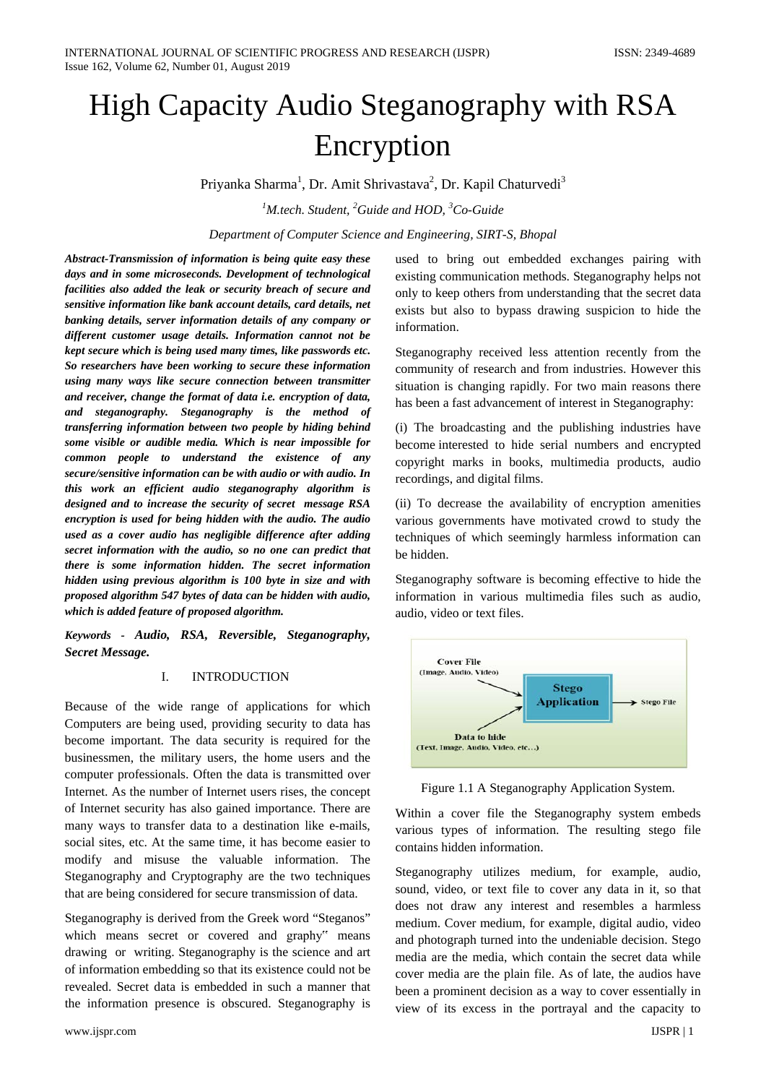# High Capacity Audio Steganography with RSA Encryption

Priyanka Sharma<sup>1</sup>, Dr. Amit Shrivastava<sup>2</sup>, Dr. Kapil Chaturvedi<sup>3</sup>

*1 M.tech. Student, <sup>2</sup> Guide and HOD, <sup>3</sup> Co-Guide*

*Department of Computer Science and Engineering, SIRT-S, Bhopal*

*Abstract-Transmission of information is being quite easy these days and in some microseconds. Development of technological facilities also added the leak or security breach of secure and sensitive information like bank account details, card details, net banking details, server information details of any company or different customer usage details. Information cannot not be kept secure which is being used many times, like passwords etc. So researchers have been working to secure these information using many ways like secure connection between transmitter and receiver, change the format of data i.e. encryption of data, and steganography. Steganography is the method of transferring information between two people by hiding behind some visible or audible media. Which is near impossible for common people to understand the existence of any secure/sensitive information can be with audio or with audio. In this work an efficient audio steganography algorithm is designed and to increase the security of secret message RSA encryption is used for being hidden with the audio. The audio used as a cover audio has negligible difference after adding secret information with the audio, so no one can predict that there is some information hidden. The secret information hidden using previous algorithm is 100 byte in size and with proposed algorithm 547 bytes of data can be hidden with audio, which is added feature of proposed algorithm.* 

*Keywords - Audio, RSA, Reversible, Steganography, Secret Message.*

## I. INTRODUCTION

Because of the wide range of applications for which Computers are being used, providing security to data has become important. The data security is required for the businessmen, the military users, the home users and the computer professionals. Often the data is transmitted over Internet. As the number of Internet users rises, the concept of Internet security has also gained importance. There are many ways to transfer data to a destination like e-mails, social sites, etc. At the same time, it has become easier to modify and misuse the valuable information. The Steganography and Cryptography are the two techniques that are being considered for secure transmission of data.

Steganography is derived from the Greek word "Steganos" which means secret or covered and graphy" means drawing or writing. Steganography is the science and art of information embedding so that its existence could not be revealed. Secret data is embedded in such a manner that the information presence is obscured. Steganography is

used to bring out embedded exchanges pairing with existing communication methods. Steganography helps not only to keep others from understanding that the secret data exists but also to bypass drawing suspicion to hide the information.

Steganography received less attention recently from the community of research and from industries. However this situation is changing rapidly. For two main reasons there has been a fast advancement of interest in Steganography:

(i) The broadcasting and the publishing industries have become interested to hide serial numbers and encrypted copyright marks in books, multimedia products, audio recordings, and digital films.

(ii) To decrease the availability of encryption amenities various governments have motivated crowd to study the techniques of which seemingly harmless information can be hidden.

Steganography software is becoming effective to hide the information in various multimedia files such as audio, audio, video or text files.



Figure 1.1 A Steganography Application System.

Within a cover file the Steganography system embeds various types of information. The resulting stego file contains hidden information.

Steganography utilizes medium, for example, audio, sound, video, or text file to cover any data in it, so that does not draw any interest and resembles a harmless medium. Cover medium, for example, digital audio, video and photograph turned into the undeniable decision. Stego media are the media, which contain the secret data while cover media are the plain file. As of late, the audios have been a prominent decision as a way to cover essentially in view of its excess in the portrayal and the capacity to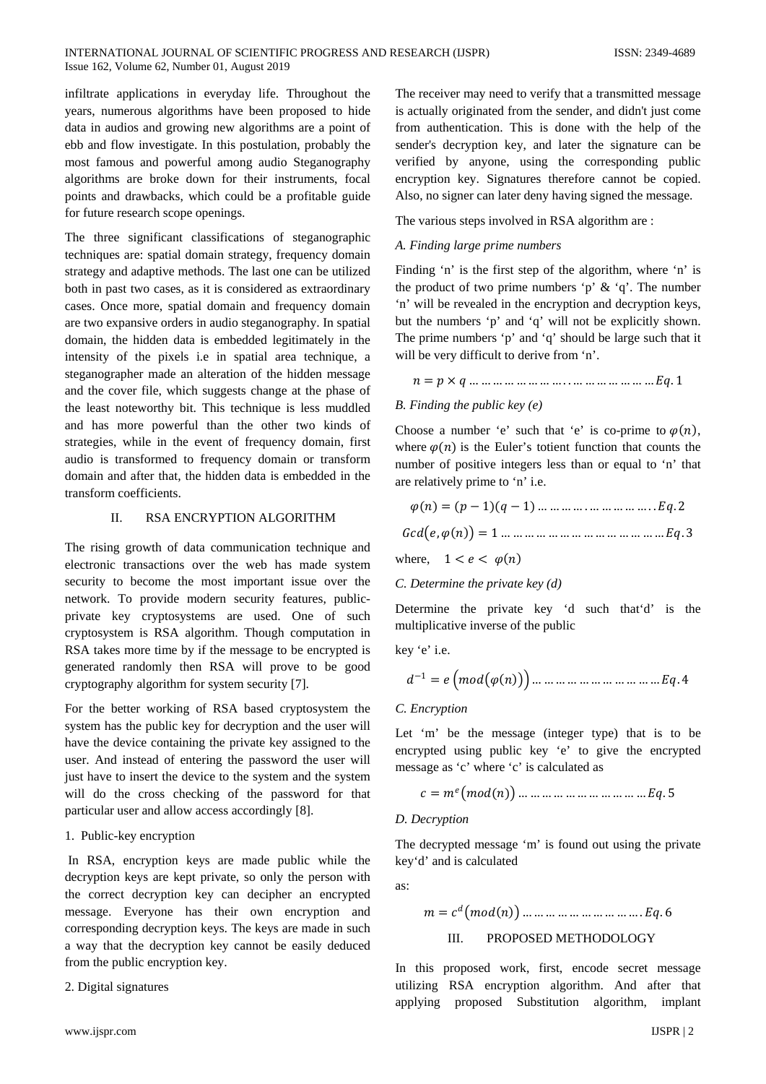## INTERNATIONAL JOURNAL OF SCIENTIFIC PROGRESS AND RESEARCH (IJSPR) ISSN: 2349-4689 Issue 162, Volume 62, Number 01, August 2019

infiltrate applications in everyday life. Throughout the years, numerous algorithms have been proposed to hide data in audios and growing new algorithms are a point of ebb and flow investigate. In this postulation, probably the most famous and powerful among audio Steganography algorithms are broke down for their instruments, focal points and drawbacks, which could be a profitable guide for future research scope openings.

The three significant classifications of steganographic techniques are: spatial domain strategy, frequency domain strategy and adaptive methods. The last one can be utilized both in past two cases, as it is considered as extraordinary cases. Once more, spatial domain and frequency domain are two expansive orders in audio steganography. In spatial domain, the hidden data is embedded legitimately in the intensity of the pixels i.e in spatial area technique, a steganographer made an alteration of the hidden message and the cover file, which suggests change at the phase of the least noteworthy bit. This technique is less muddled and has more powerful than the other two kinds of strategies, while in the event of frequency domain, first audio is transformed to frequency domain or transform domain and after that, the hidden data is embedded in the transform coefficients.

# II. RSA ENCRYPTION ALGORITHM

The rising growth of data communication technique and electronic transactions over the web has made system security to become the most important issue over the network. To provide modern security features, publicprivate key cryptosystems are used. One of such cryptosystem is RSA algorithm. Though computation in RSA takes more time by if the message to be encrypted is generated randomly then RSA will prove to be good cryptography algorithm for system security [7].

For the better working of RSA based cryptosystem the system has the public key for decryption and the user will have the device containing the private key assigned to the user. And instead of entering the password the user will just have to insert the device to the system and the system will do the cross checking of the password for that particular user and allow access accordingly [8].

# 1. Public-key encryption

In RSA, encryption keys are made public while the decryption keys are kept private, so only the person with the correct decryption key can decipher an encrypted message. Everyone has their own encryption and corresponding decryption keys. The keys are made in such a way that the decryption key cannot be easily deduced from the public encryption key.

2. Digital signatures

The receiver may need to verify that a transmitted message is actually originated from the sender, and didn't just come from authentication. This is done with the help of the sender's decryption key, and later the signature can be verified by anyone, using the corresponding public encryption key. Signatures therefore cannot be copied. Also, no signer can later deny having signed the message.

The various steps involved in RSA algorithm are :

# *A. Finding large prime numbers*

Finding 'n' is the first step of the algorithm, where 'n' is the product of two prime numbers 'p'  $\&$  'q'. The number 'n' will be revealed in the encryption and decryption keys, but the numbers 'p' and 'q' will not be explicitly shown. The prime numbers 'p' and 'q' should be large such that it will be very difficult to derive from 'n'.

= × … … … … … … … … . . … … … … … … … . 1

## *B. Finding the public key (e)*

Choose a number 'e' such that 'e' is co-prime to  $\varphi(n)$ , where  $\varphi(n)$  is the Euler's totient function that counts the number of positive integers less than or equal to 'n' that are relatively prime to 'n' i.e.

$$
\varphi(n) = (p-1)(q-1) \dots \dots \dots \dots \dots \dots \dots \dots \dots Eq.2
$$
  
Gcd(e, \varphi(n)) = 1 \dots \dots \dots \dots \dots \dots \dots \dots \dots \dots \dots Eq.3

where,  $1 < e < \varphi(n)$ 

C. Determine the private key 
$$
(d)
$$

Determine the private key 'd such that'd' is the multiplicative inverse of the public

key 'e' i.e.

$$
d^{-1} = e \left( mod(\varphi(n)) \right) \dots \dots \dots \dots \dots \dots \dots \dots \dots \dots \dots Eq. 4
$$

## *C. Encryption*

Let 'm' be the message (integer type) that is to be encrypted using public key 'e' to give the encrypted message as 'c' where 'c' is calculated as

$$
c = m^e \big( mod(n) \big) \dots \dots \dots \dots \dots \dots \dots \dots \dots \dots \dots Eq.5
$$

#### *D. Decryption*

The decrypted message 'm' is found out using the private key'd' and is calculated

as:

$$
m = cd (mod(n)) \dots \dots \dots \dots \dots \dots \dots \dots \dots Eq. 6
$$
  
III. PROPOSED METHODOLOGY

In this proposed work, first, encode secret message utilizing RSA encryption algorithm. And after that applying proposed Substitution algorithm, implant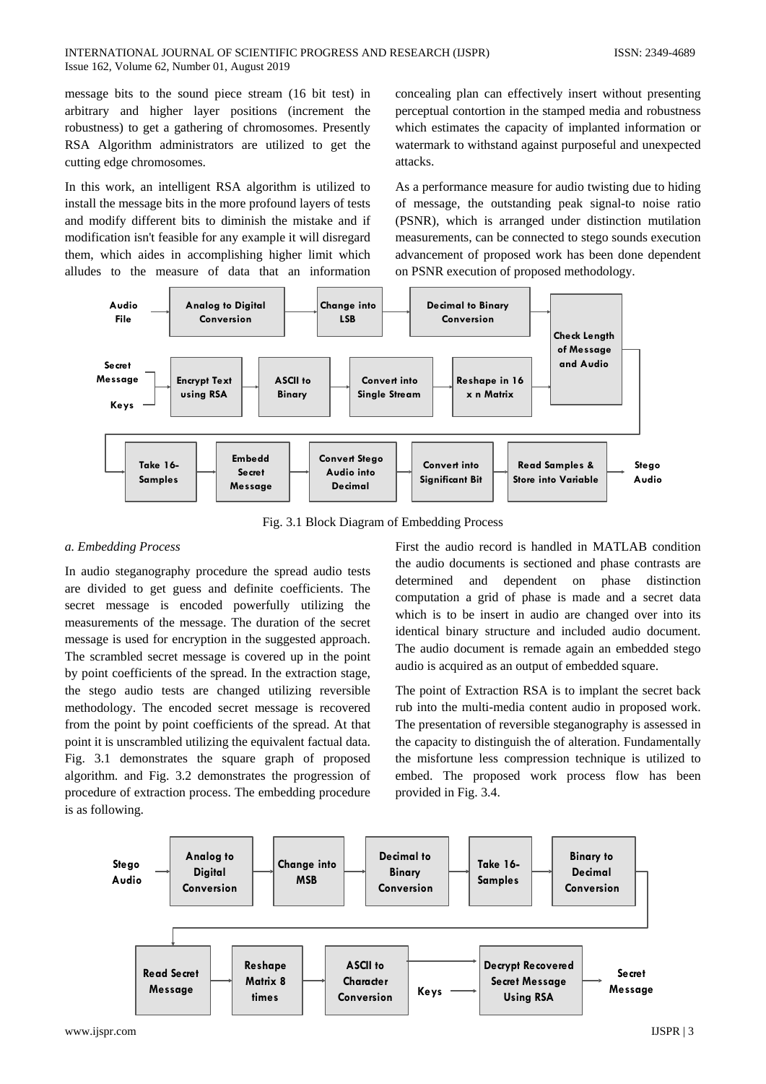message bits to the sound piece stream (16 bit test) in arbitrary and higher layer positions (increment the robustness) to get a gathering of chromosomes. Presently RSA Algorithm administrators are utilized to get the cutting edge chromosomes.

In this work, an intelligent RSA algorithm is utilized to install the message bits in the more profound layers of tests and modify different bits to diminish the mistake and if modification isn't feasible for any example it will disregard them, which aides in accomplishing higher limit which alludes to the measure of data that an information

concealing plan can effectively insert without presenting perceptual contortion in the stamped media and robustness which estimates the capacity of implanted information or watermark to withstand against purposeful and unexpected attacks.

As a performance measure for audio twisting due to hiding of message, the outstanding peak signal-to noise ratio (PSNR), which is arranged under distinction mutilation measurements, can be connected to stego sounds execution advancement of proposed work has been done dependent on PSNR execution of proposed methodology.



Fig. 3.1 Block Diagram of Embedding Process

# *a. Embedding Process*

In audio steganography procedure the spread audio tests are divided to get guess and definite coefficients. The secret message is encoded powerfully utilizing the measurements of the message. The duration of the secret message is used for encryption in the suggested approach. The scrambled secret message is covered up in the point by point coefficients of the spread. In the extraction stage, the stego audio tests are changed utilizing reversible methodology. The encoded secret message is recovered from the point by point coefficients of the spread. At that point it is unscrambled utilizing the equivalent factual data. Fig. 3.1 demonstrates the square graph of proposed algorithm. and Fig. 3.2 demonstrates the progression of procedure of extraction process. The embedding procedure is as following.

First the audio record is handled in MATLAB condition the audio documents is sectioned and phase contrasts are determined and dependent on phase distinction computation a grid of phase is made and a secret data which is to be insert in audio are changed over into its identical binary structure and included audio document. The audio document is remade again an embedded stego audio is acquired as an output of embedded square.

The point of Extraction RSA is to implant the secret back rub into the multi-media content audio in proposed work. The presentation of reversible steganography is assessed in the capacity to distinguish the of alteration. Fundamentally the misfortune less compression technique is utilized to embed. The proposed work process flow has been provided in Fig. 3.4.

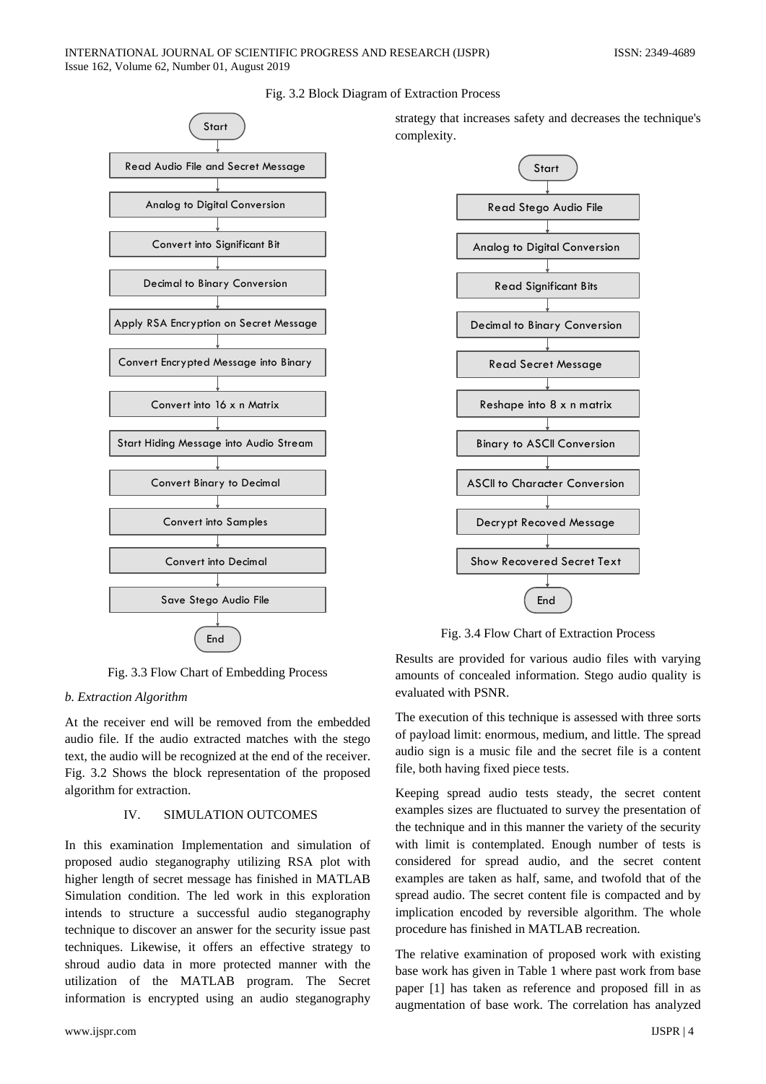## INTERNATIONAL JOURNAL OF SCIENTIFIC PROGRESS AND RESEARCH (IJSPR) ISSN: 2349-4689 Issue 162, Volume 62, Number 01, August 2019



Fig. 3.2 Block Diagram of Extraction Process

strategy that increases safety and decreases the technique's complexity.



Fig. 3.4 Flow Chart of Extraction Process

Fig. 3.3 Flow Chart of Embedding Process

# *b. Extraction Algorithm*

At the receiver end will be removed from the embedded audio file. If the audio extracted matches with the stego text, the audio will be recognized at the end of the receiver. Fig. 3.2 Shows the block representation of the proposed algorithm for extraction.

# IV. SIMULATION OUTCOMES

In this examination Implementation and simulation of proposed audio steganography utilizing RSA plot with higher length of secret message has finished in MATLAB Simulation condition. The led work in this exploration intends to structure a successful audio steganography technique to discover an answer for the security issue past techniques. Likewise, it offers an effective strategy to shroud audio data in more protected manner with the utilization of the MATLAB program. The Secret information is encrypted using an audio steganography

Results are provided for various audio files with varying amounts of concealed information. Stego audio quality is evaluated with PSNR.

The execution of this technique is assessed with three sorts of payload limit: enormous, medium, and little. The spread audio sign is a music file and the secret file is a content file, both having fixed piece tests.

Keeping spread audio tests steady, the secret content examples sizes are fluctuated to survey the presentation of the technique and in this manner the variety of the security with limit is contemplated. Enough number of tests is considered for spread audio, and the secret content examples are taken as half, same, and twofold that of the spread audio. The secret content file is compacted and by implication encoded by reversible algorithm. The whole procedure has finished in MATLAB recreation.

The relative examination of proposed work with existing base work has given in Table 1 where past work from base paper [1] has taken as reference and proposed fill in as augmentation of base work. The correlation has analyzed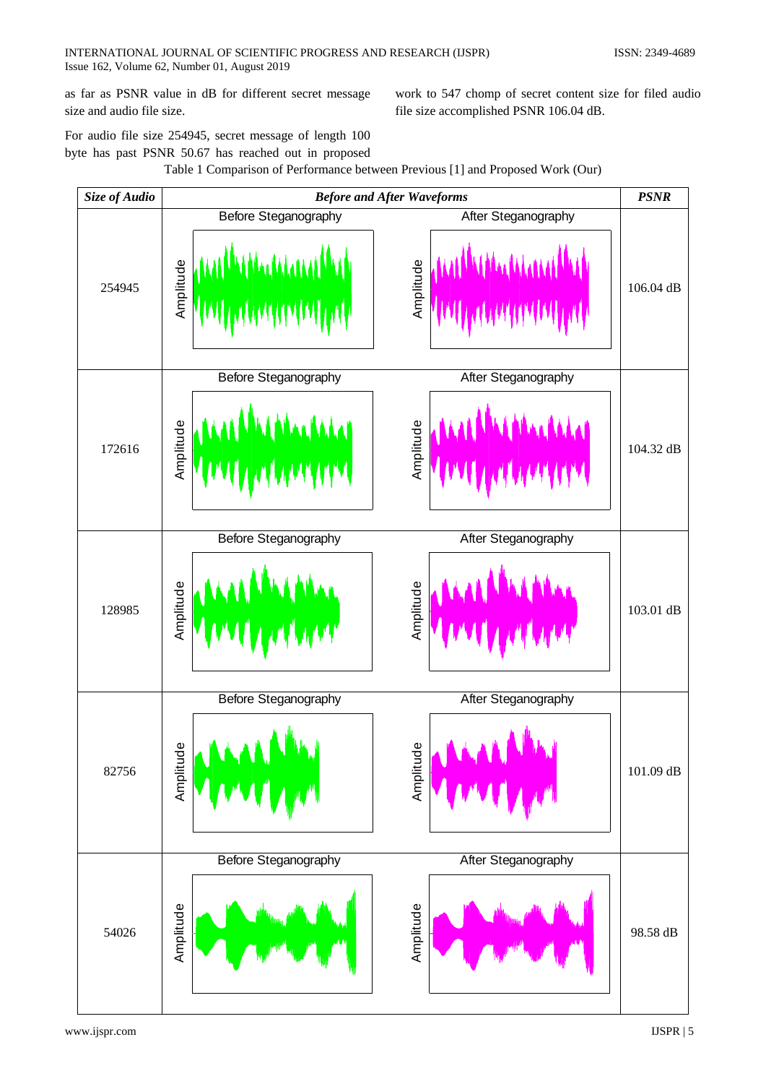as far as PSNR value in dB for different secret message size and audio file size.

work to 547 chomp of secret content size for filed audio file size accomplished PSNR 106.04 dB.

For audio file size 254945, secret message of length 100 byte has past PSNR 50.67 has reached out in proposed



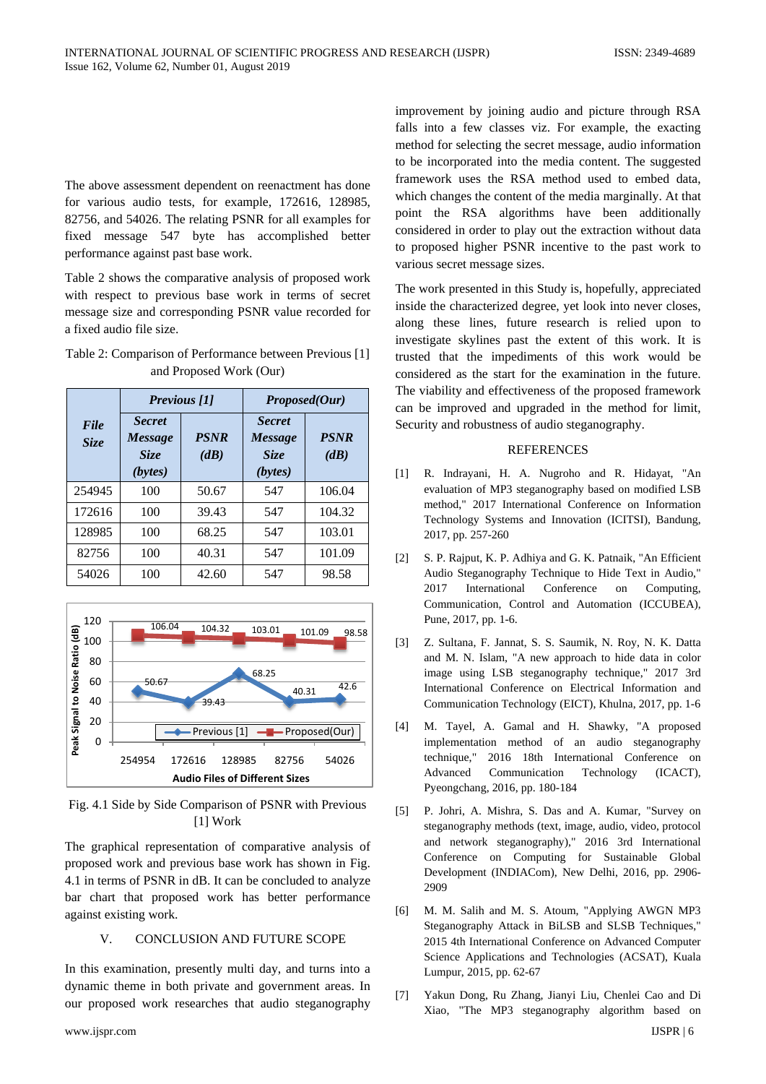The above assessment dependent on reenactment has done for various audio tests, for example, 172616, 128985, 82756, and 54026. The relating PSNR for all examples for fixed message 547 byte has accomplished better performance against past base work.

Table 2 shows the comparative analysis of proposed work with respect to previous base work in terms of secret message size and corresponding PSNR value recorded for a fixed audio file size.

| Table 2: Comparison of Performance between Previous [1] |
|---------------------------------------------------------|
| and Proposed Work (Our)                                 |

|              | Previous [1]                                       |                     | Proposed(Our)                                             |                     |
|--------------|----------------------------------------------------|---------------------|-----------------------------------------------------------|---------------------|
| File<br>Size | <b>Secret</b><br><b>Message</b><br>Size<br>(bytes) | <b>PSNR</b><br>(dB) | <b>Secret</b><br><b>Message</b><br><b>Size</b><br>(bytes) | <b>PSNR</b><br>(dB) |
| 254945       | 100                                                | 50.67               | 547                                                       | 106.04              |
| 172616       | 100                                                | 39.43               | 547                                                       | 104.32              |
| 128985       | 100                                                | 68.25               | 547                                                       | 103.01              |
| 82756        | 100                                                | 40.31               | 547                                                       | 101.09              |
| 54026        | 100                                                | 42.60               | 547                                                       | 98.58               |



Fig. 4.1 Side by Side Comparison of PSNR with Previous [1] Work

The graphical representation of comparative analysis of proposed work and previous base work has shown in Fig. 4.1 in terms of PSNR in dB. It can be concluded to analyze bar chart that proposed work has better performance against existing work.

# V. CONCLUSION AND FUTURE SCOPE

In this examination, presently multi day, and turns into a dynamic theme in both private and government areas. In our proposed work researches that audio steganography

improvement by joining audio and picture through RSA falls into a few classes viz. For example, the exacting method for selecting the secret message, audio information to be incorporated into the media content. The suggested framework uses the RSA method used to embed data, which changes the content of the media marginally. At that point the RSA algorithms have been additionally considered in order to play out the extraction without data to proposed higher PSNR incentive to the past work to various secret message sizes.

The work presented in this Study is, hopefully, appreciated inside the characterized degree, yet look into never closes, along these lines, future research is relied upon to investigate skylines past the extent of this work. It is trusted that the impediments of this work would be considered as the start for the examination in the future. The viability and effectiveness of the proposed framework can be improved and upgraded in the method for limit, Security and robustness of audio steganography.

# **REFERENCES**

- [1] R. Indrayani, H. A. Nugroho and R. Hidayat, "An evaluation of MP3 steganography based on modified LSB method," 2017 International Conference on Information Technology Systems and Innovation (ICITSI), Bandung, 2017, pp. 257-260
- [2] S. P. Rajput, K. P. Adhiya and G. K. Patnaik, "An Efficient Audio Steganography Technique to Hide Text in Audio," 2017 International Conference on Computing, Communication, Control and Automation (ICCUBEA), Pune, 2017, pp. 1-6.
- [3] Z. Sultana, F. Jannat, S. S. Saumik, N. Roy, N. K. Datta and M. N. Islam, "A new approach to hide data in color image using LSB steganography technique," 2017 3rd International Conference on Electrical Information and Communication Technology (EICT), Khulna, 2017, pp. 1-6
- [4] M. Tayel, A. Gamal and H. Shawky, "A proposed implementation method of an audio steganography technique," 2016 18th International Conference on Advanced Communication Technology (ICACT), Pyeongchang, 2016, pp. 180-184
- [5] P. Johri, A. Mishra, S. Das and A. Kumar, "Survey on steganography methods (text, image, audio, video, protocol and network steganography)," 2016 3rd International Conference on Computing for Sustainable Global Development (INDIACom), New Delhi, 2016, pp. 2906- 2909
- [6] M. M. Salih and M. S. Atoum, "Applying AWGN MP3 Steganography Attack in BiLSB and SLSB Techniques," 2015 4th International Conference on Advanced Computer Science Applications and Technologies (ACSAT), Kuala Lumpur, 2015, pp. 62-67
- www.ijspr.com IJSPR | 6 [7] Yakun Dong, Ru Zhang, Jianyi Liu, Chenlei Cao and Di Xiao, "The MP3 steganography algorithm based on